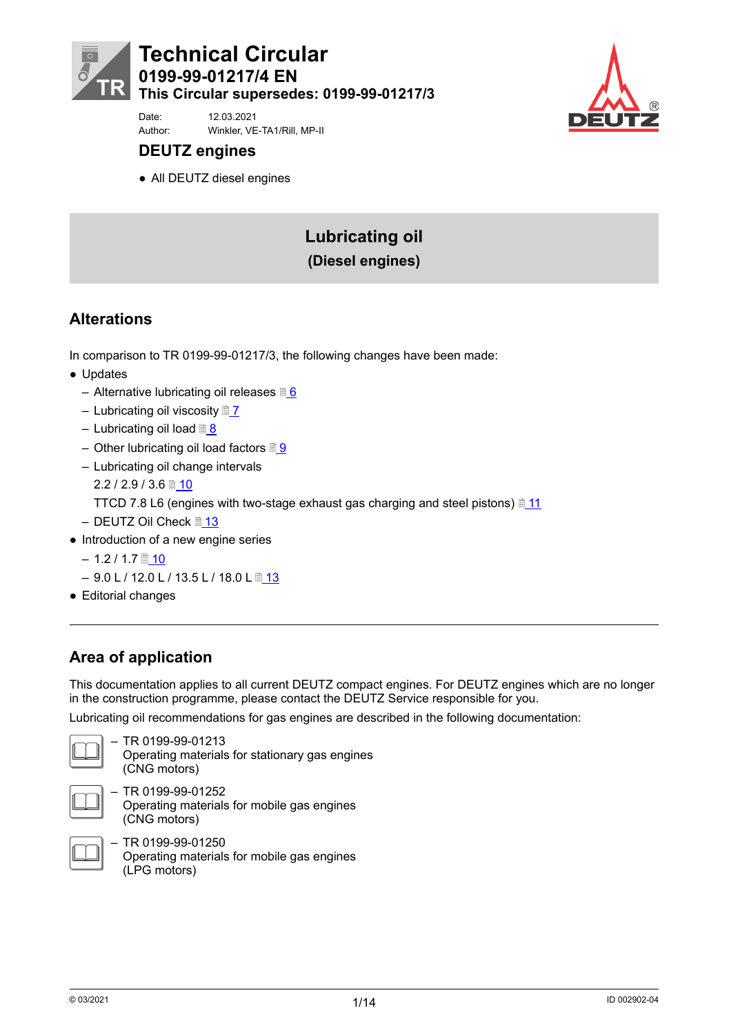



Date: 12.03.2021 Author: Winkler, VE-TA1/Rill, MP-II

# **DEUTZ engines**

● All DEUTZ diesel engines

# **Lubricating oil (Diesel engines)**

# **Alterations**

In comparison to TR 0199-99-01217/3, the following changes have been made:

- Updates
	- Alternative lubricating oil releases  $\sqrt[3]{6}$  $\sqrt[3]{6}$  $\sqrt[3]{6}$
	- Lubricating oil viscosity  $\sqrt{\frac{2}{1}}$
	- Lubricating oil load <u>■ [8](#page-7-0)</u>
	- Other lubricating oil load factors  $\sqrt{9}$  $\sqrt{9}$  $\sqrt{9}$
	- Lubricating oil change intervals

 $2.2 / 2.9 / 3.6$  [10](#page-9-0)

TTCD 7.8 L6 (engines with two-stage exhaust gas charging and steel pistons)  $\sqrt{\frac{11}{11}}$  $\sqrt{\frac{11}{11}}$  $\sqrt{\frac{11}{11}}$ 

- DEUTZ Oil Check <u>■ [13](#page-12-0)</u>
- Introduction of a new engine series
	- $-1.2 / 1.7$  [10](#page-9-0)
	- $-9.0$  L / 12.0 L / [13](#page-12-0).5 L / 18.0 L 13
- Editorial changes

# **Area of application**

This documentation applies to all current DEUTZ compact engines. For DEUTZ engines which are no longer in the construction programme, please contact the DEUTZ Service responsible for you.

Lubricating oil recommendations for gas engines are described in the following documentation:



– TR 0199-99-01213 Operating materials for stationary gas engines (CNG motors)



– TR 0199-99-01252 Operating materials for mobile gas engines (CNG motors)



– TR 0199-99-01250 Operating materials for mobile gas engines (LPG motors)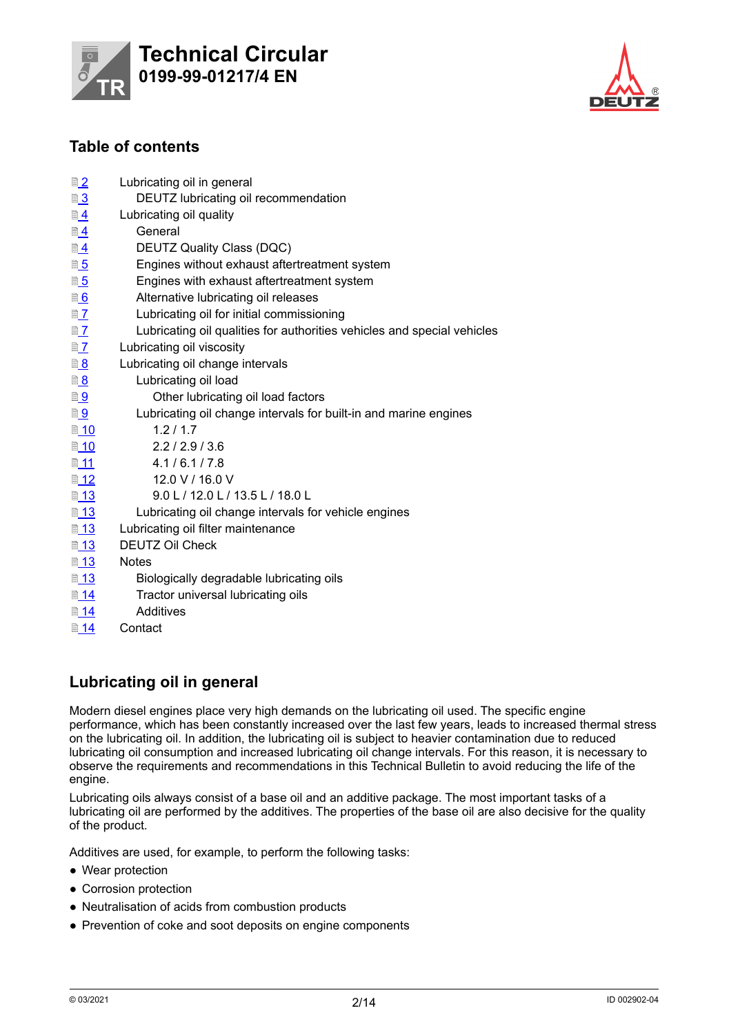



# **Table of contents**

| ■2                       | Lubricating oil in general                                              |
|--------------------------|-------------------------------------------------------------------------|
| ■3                       | DEUTZ lubricating oil recommendation                                    |
| <u> 1</u>                | Lubricating oil quality                                                 |
| $\n  4\n$                | General                                                                 |
| $\underline{\mathbb{B}}$ | DEUTZ Quality Class (DQC)                                               |
| 0.5                      | Engines without exhaust aftertreatment system                           |
| <u>■5</u>                | Engines with exhaust aftertreatment system                              |
| <u><b>6</b></u>          | Alternative lubricating oil releases                                    |
| $\n  2\n$                | Lubricating oil for initial commissioning                               |
| $\n  2\n$                | Lubricating oil qualities for authorities vehicles and special vehicles |
| $\n  2\n$                | Lubricating oil viscosity                                               |
| <u>8</u>                 | Lubricating oil change intervals                                        |
| <u>3</u>                 | Lubricating oil load                                                    |
| <u>D 9</u>               | Other lubricating oil load factors                                      |
| <u>a g</u>               | Lubricating oil change intervals for built-in and marine engines        |
| ■ 10                     | 1.2/1.7                                                                 |
| ■ 10                     | 2.2 / 2.9 / 3.6                                                         |
| ■11                      | 4.1/6.1/7.8                                                             |
| ■ 12                     | 12.0 V / 16.0 V                                                         |
| ■ 13                     | 9.0 L / 12.0 L / 13.5 L / 18.0 L                                        |
| ■ 13                     | Lubricating oil change intervals for vehicle engines                    |
| ■ 13                     | Lubricating oil filter maintenance                                      |
| ■ 13                     | <b>DEUTZ Oil Check</b>                                                  |
| ■ 13                     | <b>Notes</b>                                                            |
| ■ 13                     | Biologically degradable lubricating oils                                |
| ■ 14                     | Tractor universal lubricating oils                                      |
| ■ 14                     | Additives                                                               |
| ■ 14                     | Contact                                                                 |

# **Lubricating oil in general**

Modern diesel engines place very high demands on the lubricating oil used. The specific engine performance, which has been constantly increased over the last few years, leads to increased thermal stress on the lubricating oil. In addition, the lubricating oil is subject to heavier contamination due to reduced lubricating oil consumption and increased lubricating oil change intervals. For this reason, it is necessary to observe the requirements and recommendations in this Technical Bulletin to avoid reducing the life of the engine.

Lubricating oils always consist of a base oil and an additive package. The most important tasks of a lubricating oil are performed by the additives. The properties of the base oil are also decisive for the quality of the product.

Additives are used, for example, to perform the following tasks:

- Wear protection
- Corrosion protection
- Neutralisation of acids from combustion products
- Prevention of coke and soot deposits on engine components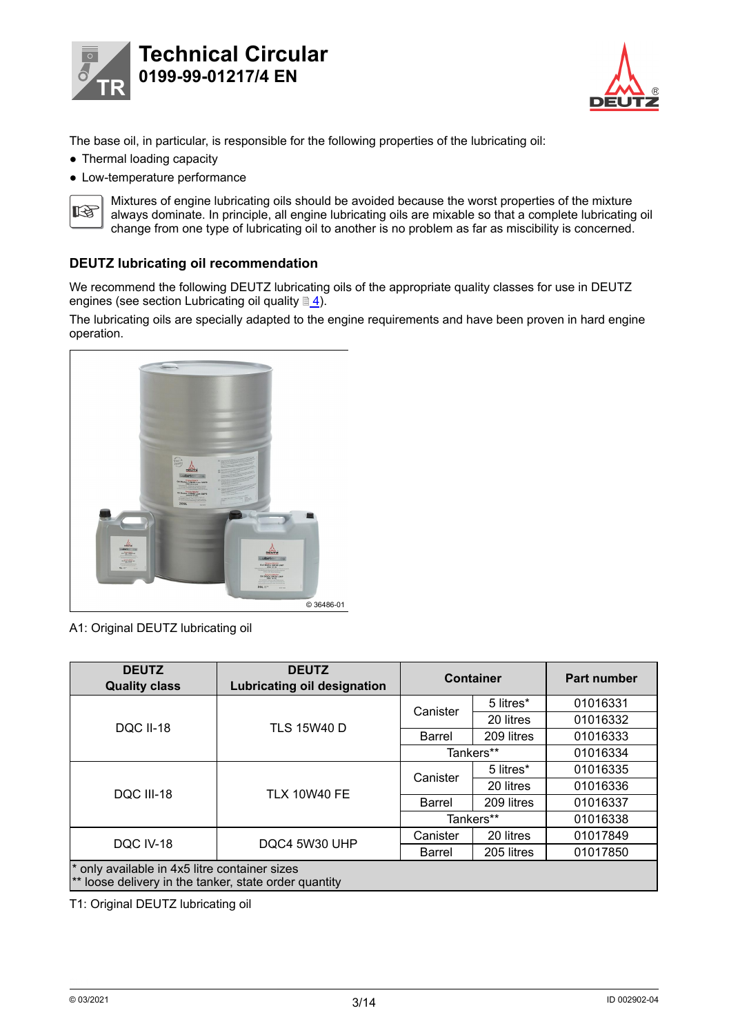<span id="page-2-0"></span>



The base oil, in particular, is responsible for the following properties of the lubricating oil:

- Thermal loading capacity
- Low-temperature performance



Mixtures of engine lubricating oils should be avoided because the worst properties of the mixture always dominate. In principle, all engine lubricating oils are mixable so that a complete lubricating oil change from one type of lubricating oil to another is no problem as far as miscibility is concerned.

### **DEUTZ lubricating oil recommendation**

We recommend the following DEUTZ lubricating oils of the appropriate quality classes for use in DEUTZ engines (see section Lubricating oil quality  $\sqrt{\frac{4}{5}}$  $\sqrt{\frac{4}{5}}$  $\sqrt{\frac{4}{5}}$ .

The lubricating oils are specially adapted to the engine requirements and have been proven in hard engine operation.



A1: Original DEUTZ lubricating oil

| <b>DEUTZ</b><br><b>Quality class</b> | <b>DEUTZ</b><br><b>Lubricating oil designation</b>                                                     |               | <b>Container</b> | <b>Part number</b> |  |  |  |  |  |
|--------------------------------------|--------------------------------------------------------------------------------------------------------|---------------|------------------|--------------------|--|--|--|--|--|
|                                      |                                                                                                        | Canister      | 5 litres*        | 01016331           |  |  |  |  |  |
| <b>DQC II-18</b>                     | <b>TLS 15W40 D</b>                                                                                     |               | 20 litres        | 01016332           |  |  |  |  |  |
|                                      |                                                                                                        | Barrel        | 209 litres       | 01016333           |  |  |  |  |  |
|                                      |                                                                                                        |               | Tankers**        | 01016334           |  |  |  |  |  |
|                                      |                                                                                                        | Canister      | 5 litres*        | 01016335           |  |  |  |  |  |
| <b>DOC III-18</b>                    | <b>TLX 10W40 FE</b>                                                                                    |               | 20 litres        | 01016336           |  |  |  |  |  |
|                                      |                                                                                                        | <b>Barrel</b> | 209 litres       | 01016337           |  |  |  |  |  |
|                                      |                                                                                                        |               | Tankers**        | 01016338           |  |  |  |  |  |
|                                      |                                                                                                        | Canister      | 20 litres        | 01017849           |  |  |  |  |  |
| DQC IV-18                            | DQC4 5W30 UHP                                                                                          | <b>Barrel</b> | 205 litres       | 01017850           |  |  |  |  |  |
|                                      | * only available in 4x5 litre container sizes<br>** loose delivery in the tanker, state order quantity |               |                  |                    |  |  |  |  |  |

T1: Original DEUTZ lubricating oil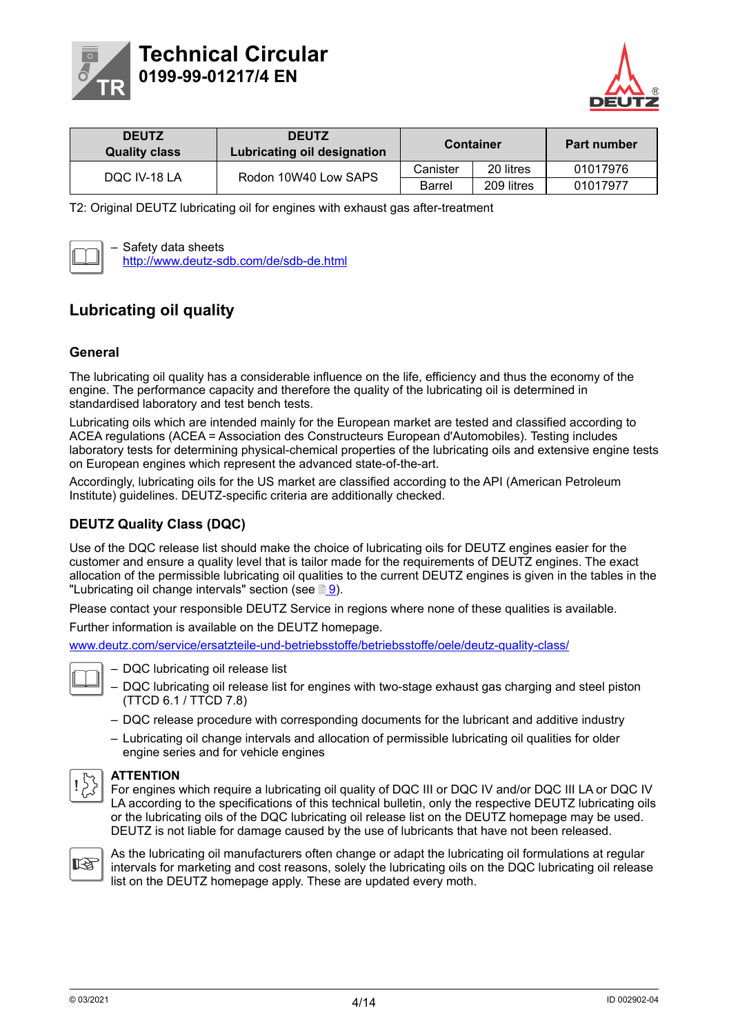<span id="page-3-0"></span>



| <b>DEUTZ</b><br><b>Quality class</b> | <b>DEUTZ</b><br>Lubricating oil designation | <b>Container</b> |            | <b>Part number</b> |  |  |
|--------------------------------------|---------------------------------------------|------------------|------------|--------------------|--|--|
| DOC IV-18 LA                         | Rodon 10W40 Low SAPS                        | Canister         | 20 litres  | 01017976           |  |  |
|                                      |                                             | <b>Barrel</b>    | 209 litres | 01017977           |  |  |

T2: Original DEUTZ lubricating oil for engines with exhaust gas after-treatment



– Safety data sheets http://www.deutz-sdb.com/de/sdb-de.html

# **Lubricating oil quality**

### **General**

The lubricating oil quality has a considerable influence on the life, efficiency and thus the economy of the engine. The performance capacity and therefore the quality of the lubricating oil is determined in standardised laboratory and test bench tests.

Lubricating oils which are intended mainly for the European market are tested and classified according to ACEA regulations (ACEA = Association des Constructeurs European d'Automobiles). Testing includes laboratory tests for determining physical-chemical properties of the lubricating oils and extensive engine tests on European engines which represent the advanced state-of-the-art.

Accordingly, lubricating oils for the US market are classified according to the API (American Petroleum Institute) guidelines. DEUTZ-specific criteria are additionally checked.

### **DEUTZ Quality Class (DQC)**

Use of the DQC release list should make the choice of lubricating oils for DEUTZ engines easier for the customer and ensure a quality level that is tailor made for the requirements of DEUTZ engines. The exact allocation of the permissible lubricating oil qualities to the current DEUTZ engines is given in the tables in the "Lubricating oil change intervals" section (see  $\mathbb{B}$ [9](#page-8-0)).

Please contact your responsible DEUTZ Service in regions where none of these qualities is available.

Further information is available on the DEUTZ homepage.

www.deutz.com/service/ersatzteile-und-betriebsstoffe/betriebsstoffe/oele/deutz-quality-class/



– DQC lubricating oil release list

– DQC lubricating oil release list for engines with two-stage exhaust gas charging and steel piston (TTCD 6.1 / TTCD 7.8)

- DQC release procedure with corresponding documents for the lubricant and additive industry
- Lubricating oil change intervals and allocation of permissible lubricating oil qualities for older engine series and for vehicle engines



#### **ATTENTION**

For engines which require a lubricating oil quality of DQC III or DQC IV and/or DQC III LA or DQC IV LA according to the specifications of this technical bulletin, only the respective DEUTZ lubricating oils or the lubricating oils of the DQC lubricating oil release list on the DEUTZ homepage may be used. DEUTZ is not liable for damage caused by the use of lubricants that have not been released.



As the lubricating oil manufacturers often change or adapt the lubricating oil formulations at regular intervals for marketing and cost reasons, solely the lubricating oils on the DQC lubricating oil release list on the DEUTZ homepage apply. These are updated every moth.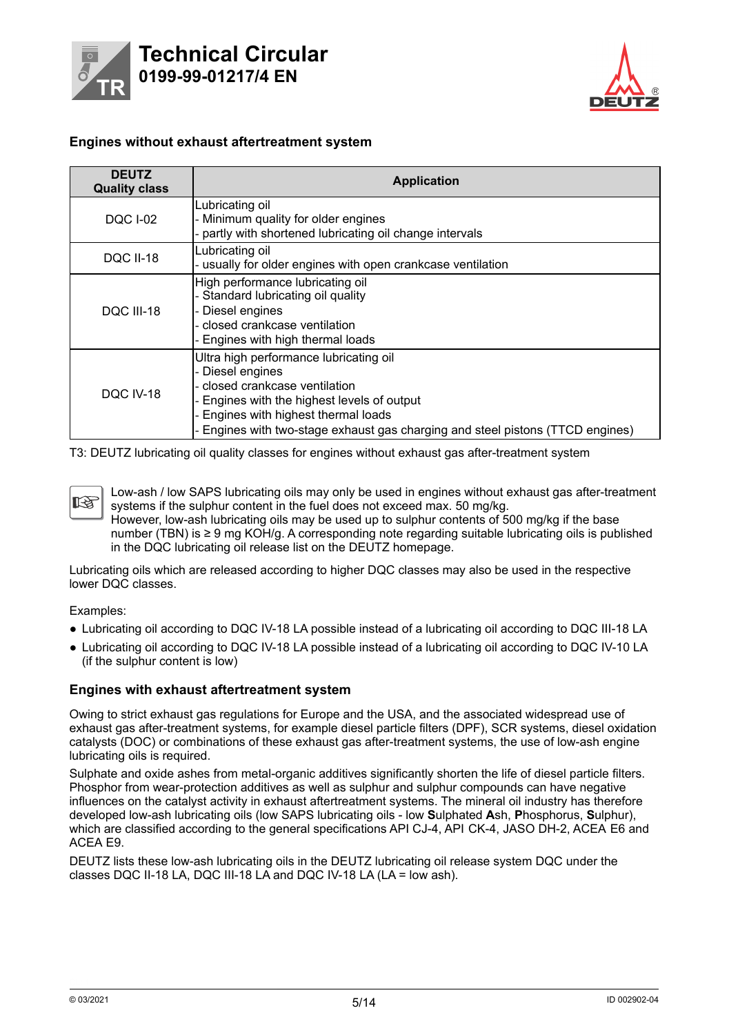<span id="page-4-0"></span>



#### **Engines without exhaust aftertreatment system**

| <b>DEUTZ</b><br><b>Quality class</b> | <b>Application</b>                                                                                                                                                                                                                                                    |
|--------------------------------------|-----------------------------------------------------------------------------------------------------------------------------------------------------------------------------------------------------------------------------------------------------------------------|
| <b>DQC I-02</b>                      | Lubricating oil<br>- Minimum quality for older engines<br>- partly with shortened lubricating oil change intervals                                                                                                                                                    |
| <b>DQC II-18</b>                     | Lubricating oil<br>- usually for older engines with open crankcase ventilation                                                                                                                                                                                        |
| DQC III-18                           | High performance lubricating oil<br>- Standard lubricating oil quality<br>- Diesel engines<br>- closed crankcase ventilation<br>- Engines with high thermal loads                                                                                                     |
| DQC IV-18                            | Ultra high performance lubricating oil<br>- Diesel engines<br>- closed crankcase ventilation<br>- Engines with the highest levels of output<br>- Engines with highest thermal loads<br>- Engines with two-stage exhaust gas charging and steel pistons (TTCD engines) |

T3: DEUTZ lubricating oil quality classes for engines without exhaust gas after-treatment system

Low-ash / low SAPS lubricating oils may only be used in engines without exhaust gas after-treatment 隐 systems if the sulphur content in the fuel does not exceed max. 50 mg/kg. However, low-ash lubricating oils may be used up to sulphur contents of 500 mg/kg if the base number (TBN) is ≥ 9 mg KOH/g. A corresponding note regarding suitable lubricating oils is published in the DQC lubricating oil release list on the DEUTZ homepage.

Lubricating oils which are released according to higher DQC classes may also be used in the respective lower DQC classes.

Examples:

- Lubricating oil according to DQC IV-18 LA possible instead of a lubricating oil according to DQC III-18 LA
- Lubricating oil according to DQC IV-18 LA possible instead of a lubricating oil according to DQC IV-10 LA (if the sulphur content is low)

#### **Engines with exhaust aftertreatment system**

Owing to strict exhaust gas regulations for Europe and the USA, and the associated widespread use of exhaust gas after-treatment systems, for example diesel particle filters (DPF), SCR systems, diesel oxidation catalysts (DOC) or combinations of these exhaust gas after-treatment systems, the use of low-ash engine lubricating oils is required.

Sulphate and oxide ashes from metal-organic additives significantly shorten the life of diesel particle filters. Phosphor from wear-protection additives as well as sulphur and sulphur compounds can have negative influences on the catalyst activity in exhaust aftertreatment systems. The mineral oil industry has therefore developed low-ash lubricating oils (low SAPS lubricating oils - low **S**ulphated **A**sh, **P**hosphorus, **S**ulphur), which are classified according to the general specifications API CJ-4, API CK-4, JASO DH-2, ACEA E6 and ACEA E9.

DEUTZ lists these low-ash lubricating oils in the DEUTZ lubricating oil release system DQC under the classes DQC II-18 LA, DQC III-18 LA and DQC IV-18 LA (LA = low ash).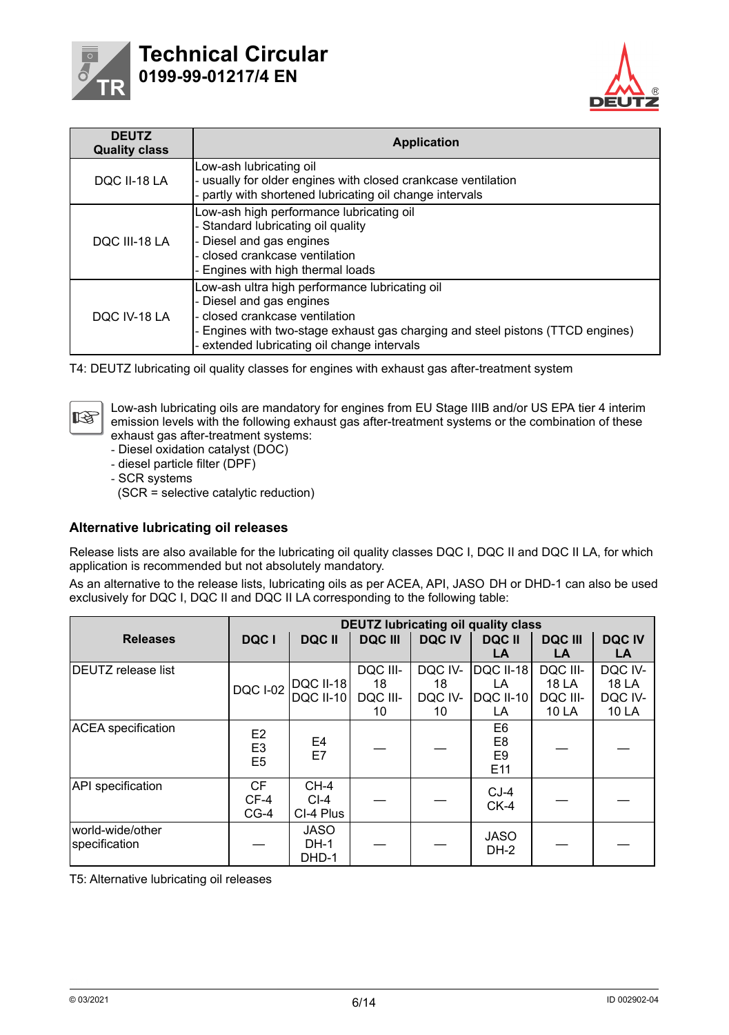<span id="page-5-0"></span>

# **Tech nical Circular 0199-99-01217/4 EN**



| <b>DEUTZ</b><br><b>Quality class</b> | <b>Application</b>                                                                                                                                                                                                                          |
|--------------------------------------|---------------------------------------------------------------------------------------------------------------------------------------------------------------------------------------------------------------------------------------------|
| DQC II-18 LA                         | Low-ash lubricating oil<br>- usually for older engines with closed crankcase ventilation<br>- partly with shortened lubricating oil change intervals                                                                                        |
| DQC III-18 LA                        | Low-ash high performance lubricating oil<br>- Standard lubricating oil quality<br>- Diesel and gas engines<br>- closed crankcase ventilation<br>- Engines with high thermal loads                                                           |
| DOC IV-18 LA                         | Low-ash ultra high performance lubricating oil<br>- Diesel and gas engines<br>- closed crankcase ventilation<br>- Engines with two-stage exhaust gas charging and steel pistons (TTCD engines)<br>extended lubricating oil change intervals |

T4: DEUTZ lubricating oil quality classes for engines with exhaust gas after-treatment system



Low-ash lubricating oils are mandatory for engines from EU Stage IIIB and/or US EPA tier 4 interim emission levels with the following exhaust gas after-treatment systems or the combination of these exhaust gas after-treatment systems:

- ‑ Diesel oxidation catalyst (DOC)
- ‑ diesel particle filter (DPF)
- ‑ SCR systems

(SCR = selective catalytic reduction)

#### **Alternative lubricating oil releases**

Release lists are also available for the lubricating oil quality classes DQC I, DQC II and DQC II LA, for which application is recommended but not absolutely mandatory.

As an alternative to the release lists, lubricating oils as per ACEA, API, JASO DH or DHD-1 can also be used exclusively for DQC I, DQC II and DQC II LA corresponding to the following table:

|                                   |                                                    |                                     |                |               | <b>DEUTZ lubricating oil quality class</b> |                |              |  |
|-----------------------------------|----------------------------------------------------|-------------------------------------|----------------|---------------|--------------------------------------------|----------------|--------------|--|
| <b>Releases</b>                   | DQC I                                              | <b>DQCII</b>                        | <b>DQC III</b> | <b>DQC IV</b> | <b>DQC II</b>                              | <b>DQC III</b> | <b>DQCIV</b> |  |
|                                   |                                                    |                                     |                |               | LA.                                        | LA             | LA           |  |
| <b>DEUTZ</b> release list         |                                                    |                                     | DQC III-       | DQC IV-       | <b>DQC II-18</b>                           | DQC III-       | DQC IV-      |  |
|                                   | <b>DQC I-02</b>                                    | <b>DQC II-18</b>                    | 18             | 18            | LA.                                        | 18 LA          | 18 LA        |  |
|                                   |                                                    | <b>DQC II-10</b>                    | DQC III-       | DQC IV-       | <b>DQC II-10</b>                           | DQC III-       | DQC IV-      |  |
|                                   |                                                    |                                     | 10             | 10            | LA.                                        | 10 LA          | 10 LA        |  |
| <b>ACEA</b> specification         | E <sub>2</sub><br>E <sub>3</sub><br>E <sub>5</sub> | E4<br>E7                            |                |               | E6<br>E <sub>8</sub><br>E9<br>E11          |                |              |  |
| <b>API</b> specification          | <b>CF</b><br>$CF-4$<br>$CG-4$                      | $CH-4$<br>$CI-4$<br>CI-4 Plus       |                |               | $CJ-4$<br>$CK-4$                           |                |              |  |
| world-wide/other<br>specification |                                                    | <b>JASO</b><br><b>DH-1</b><br>DHD-1 |                |               | <b>JASO</b><br>DH-2                        |                |              |  |

T5: Alternative lubricating oil releases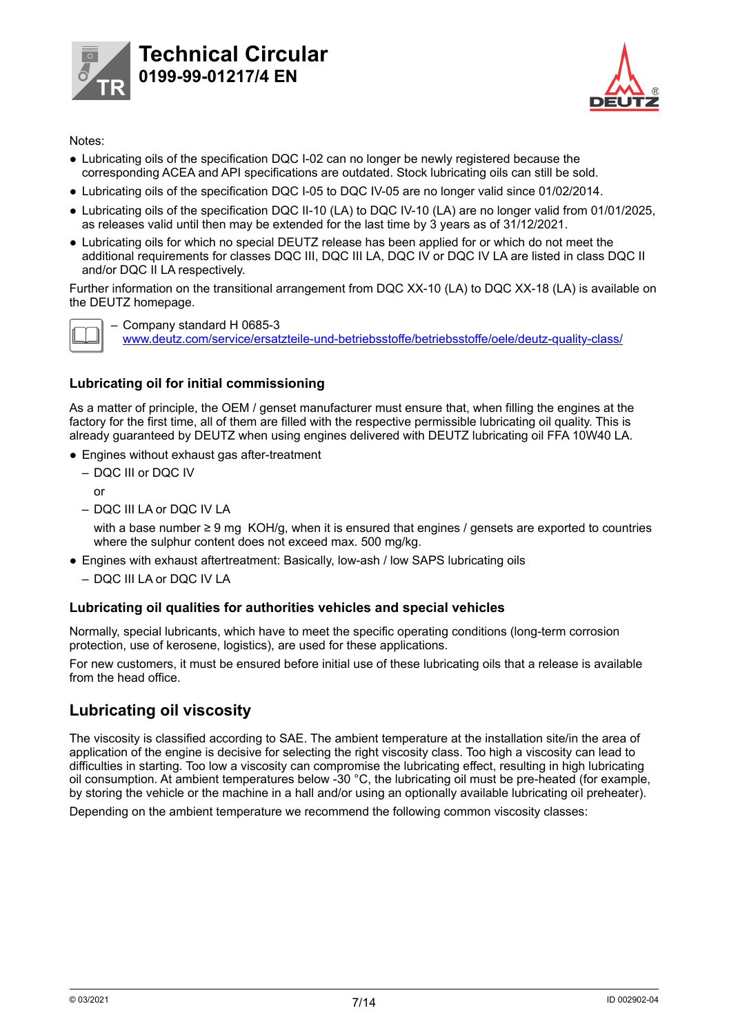<span id="page-6-0"></span>



### Notes:

- Lubricating oils of the specification DQC I-02 can no longer be newly registered because the corresponding ACEA and API specifications are outdated. Stock lubricating oils can still be sold.
- Lubricating oils of the specification DQC I-05 to DQC IV-05 are no longer valid since 01/02/2014.
- Lubricating oils of the specification DQC II-10 (LA) to DQC IV-10 (LA) are no longer valid from 01/01/2025, as releases valid until then may be extended for the last time by 3 years as of 31/12/2021.
- Lubricating oils for which no special DEUTZ release has been applied for or which do not meet the additional requirements for classes DQC III, DQC III LA, DQC IV or DQC IV LA are listed in class DQC II and/or DQC II LA respectively.

Further information on the transitional arrangement from DQC XX-10 (LA) to DQC XX-18 (LA) is available on the DEUTZ homepage.



– Company standard H 0685-3 www.deutz.com/service/ersatzteile-und-betriebsstoffe/betriebsstoffe/oele/deutz-quality-class/

### **Lubricating oil for initial commissioning**

As a matter of principle, the OEM / genset manufacturer must ensure that, when filling the engines at the factory for the first time, all of them are filled with the respective permissible lubricating oil quality. This is already guaranteed by DEUTZ when using engines delivered with DEUTZ lubricating oil FFA 10W40 LA.

- Engines without exhaust gas after-treatment
	- DQC III or DQC IV
		- or
	- DQC III LA or DQC IV LA

with a base number  $\geq 9$  mg KOH/g, when it is ensured that engines / gensets are exported to countries where the sulphur content does not exceed max. 500 mg/kg.

- Engines with exhaust aftertreatment: Basically, low-ash / low SAPS lubricating oils
	- DQC III LA or DQC IV LA

### **Lubricating oil qualities for authorities vehicles and special vehicles**

Normally, special lubricants, which have to meet the specific operating conditions (long-term corrosion protection, use of kerosene, logistics), are used for these applications.

For new customers, it must be ensured before initial use of these lubricating oils that a release is available from the head office.

## **Lubricating oil viscosity**

The viscosity is classified according to SAE. The ambient temperature at the installation site/in the area of application of the engine is decisive for selecting the right viscosity class. Too high a viscosity can lead to difficulties in starting. Too low a viscosity can compromise the lubricating effect, resulting in high lubricating oil consumption. At ambient temperatures below -30 °C, the lubricating oil must be pre-heated (for example, by storing the vehicle or the machine in a hall and/or using an optionally available lubricating oil preheater).

Depending on the ambient temperature we recommend the following common viscosity classes: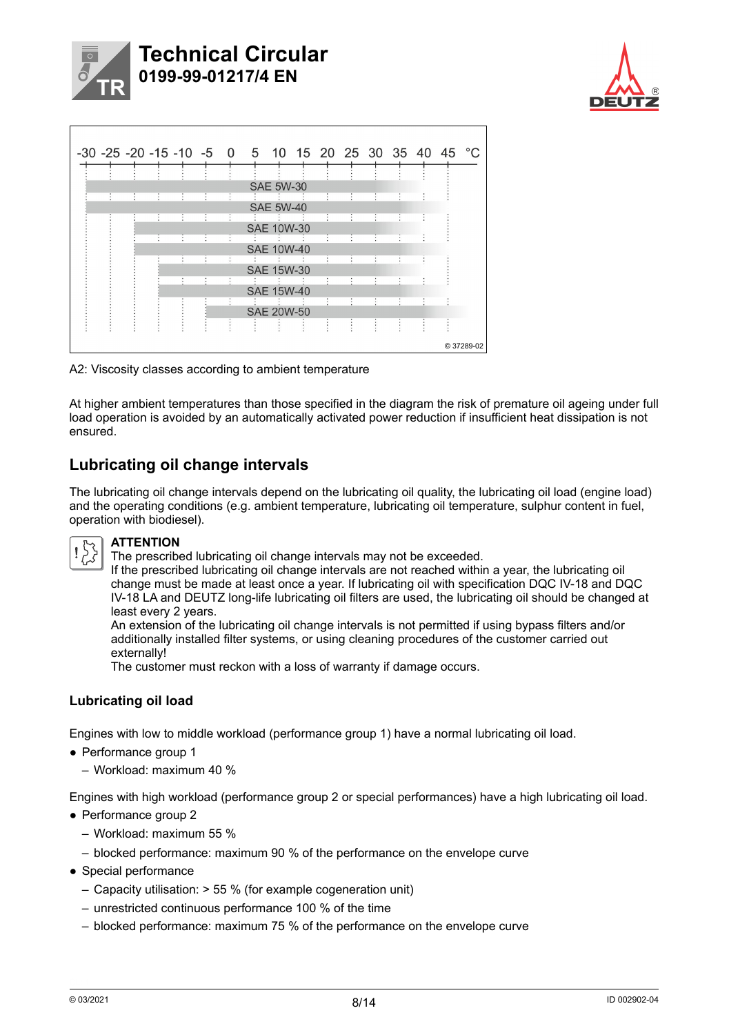<span id="page-7-0"></span>



|                      | -30 -25 -20 -15 -10 -5 0 5 10 15 20 25 30 35 40 45 °C |         |   |   |                |     |                   |    |   |   |   |                      |            |
|----------------------|-------------------------------------------------------|---------|---|---|----------------|-----|-------------------|----|---|---|---|----------------------|------------|
|                      |                                                       |         |   |   |                |     |                   |    |   |   |   |                      |            |
|                      |                                                       |         |   |   |                |     | <b>SAE 5W-30</b>  |    |   |   |   |                      |            |
| $\ddot{\phantom{a}}$ | ÷                                                     | ÷       | ÷ | ÷ | ÷              |     |                   |    | ÷ | ÷ | ÷ |                      |            |
|                      |                                                       |         |   |   |                |     | <b>SAE 5W-40</b>  |    |   |   |   |                      |            |
|                      |                                                       | ٠       |   | t | ÷              |     |                   |    |   | ÷ | ÷ | ÷                    |            |
|                      |                                                       |         |   |   |                |     | <b>SAE 10W-30</b> |    |   |   |   |                      |            |
|                      |                                                       | $\cdot$ | ٠ | ÷ | $\blacksquare$ | -91 |                   | ٠  | ÷ | ÷ | ÷ | $\ddot{\phantom{a}}$ |            |
|                      |                                                       |         |   |   |                |     | <b>SAE 10W-40</b> |    |   |   |   |                      |            |
|                      |                                                       |         |   | ÷ |                |     |                   |    |   |   | ÷ |                      |            |
|                      |                                                       |         |   |   |                |     | <b>SAE 15W-30</b> |    |   |   |   |                      |            |
|                      |                                                       |         |   | ٠ |                |     |                   |    |   |   | ÷ | ÷                    |            |
|                      |                                                       |         |   |   |                |     | <b>SAE 15W-40</b> |    |   |   |   |                      |            |
|                      |                                                       |         |   |   | $\blacksquare$ |     |                   | v. | ÷ | ÷ | ÷ | ÷                    |            |
|                      |                                                       |         |   |   |                |     | <b>SAE 20W-50</b> |    |   |   |   |                      |            |
|                      |                                                       |         |   |   |                |     |                   |    |   | ÷ | ٠ | ŧ                    |            |
|                      |                                                       |         |   |   |                |     |                   |    |   |   |   |                      |            |
|                      |                                                       |         |   |   |                |     |                   |    |   |   |   |                      | C 37289-02 |
|                      |                                                       |         |   |   |                |     |                   |    |   |   |   |                      |            |

A2: Viscosity classes according to ambient temperature

At higher ambient temperatures than those specified in the diagram the risk of premature oil ageing under full load operation is avoided by an automatically activated power reduction if insufficient heat dissipation is not ensured.

# **Lubricating oil change intervals**

The lubricating oil change intervals depend on the lubricating oil quality, the lubricating oil load (engine load) and the operating conditions (e.g. ambient temperature, lubricating oil temperature, sulphur content in fuel, operation with biodiesel).



### **ATTENTION**

The prescribed lubricating oil change intervals may not be exceeded.

If the prescribed lubricating oil change intervals are not reached within a year, the lubricating oil change must be made at least once a year. If lubricating oil with specification DQC IV-18 and DQC IV-18 LA and DEUTZ long-life lubricating oil filters are used, the lubricating oil should be changed at least every 2 years.

An extension of the lubricating oil change intervals is not permitted if using bypass filters and/or additionally installed filter systems, or using cleaning procedures of the customer carried out externally!

The customer must reckon with a loss of warranty if damage occurs.

### **Lubricating oil load**

Engines with low to middle workload (performance group 1) have a normal lubricating oil load.

- Performance group 1
	- Workload: maximum 40 %

Engines with high workload (performance group 2 or special performances) have a high lubricating oil load.

- Performance group 2
	- Workload: maximum 55 %
	- blocked performance: maximum 90 % of the performance on the envelope curve
- Special performance
	- Capacity utilisation: > 55 % (for example cogeneration unit)
	- unrestricted continuous performance 100 % of the time
	- blocked performance: maximum 75 % of the performance on the envelope curve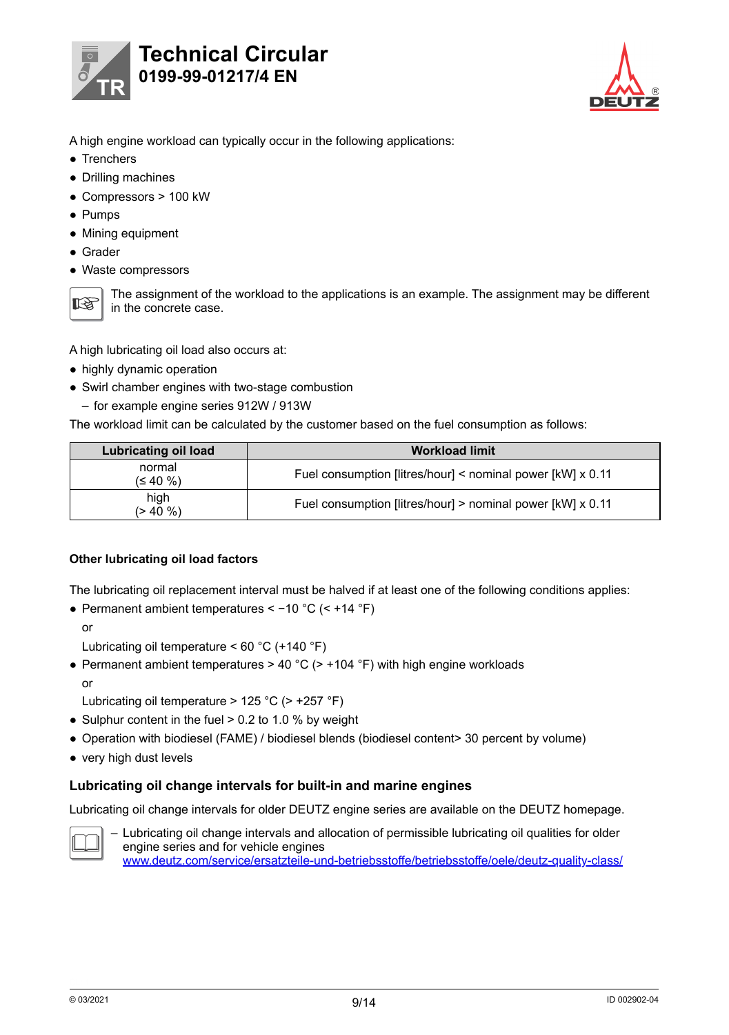<span id="page-8-0"></span>



- A high engine workload can typically occur in the following applications:
- Trenchers
- Drilling machines
- Compressors > 100 kW
- Pumps
- Mining equipment
- Grader
- Waste compressors



The assignment of the workload to the applications is an example. The assignment may be different in the concrete case.

A high lubricating oil load also occurs at:

- highly dynamic operation
- Swirl chamber engines with two-stage combustion

– for example engine series 912W / 913W

The workload limit can be calculated by the customer based on the fuel consumption as follows:

| Lubricating oil load | <b>Workload limit</b>                                      |
|----------------------|------------------------------------------------------------|
| normal<br>(≤ 40 %)   | Fuel consumption [litres/hour] < nominal power [kW] x 0.11 |
| high<br>$(> 40 \%)$  | Fuel consumption [litres/hour] > nominal power [kW] x 0.11 |

#### **Other lubricating oil load factors**

The lubricating oil replacement interval must be halved if at least one of the following conditions applies:

● Permanent ambient temperatures < −10 °C (< +14 °F)

or

Lubricating oil temperature < 60 °C (+140 °F)

• Permanent ambient temperatures > 40 °C (> +104 °F) with high engine workloads or

Lubricating oil temperature > 125 °C (> +257 °F)

- Sulphur content in the fuel  $> 0.2$  to 1.0 % by weight
- Operation with biodiesel (FAME) / biodiesel blends (biodiesel content> 30 percent by volume)
- very high dust levels

### **Lubricating oil change intervals for built-in and marine engines**

Lubricating oil change intervals for older DEUTZ engine series are available on the DEUTZ homepage.



– Lubricating oil change intervals and allocation of permissible lubricating oil qualities for older engine series and for vehicle engines www.deutz.com/service/ersatzteile-und-betriebsstoffe/betriebsstoffe/oele/deutz-quality-class/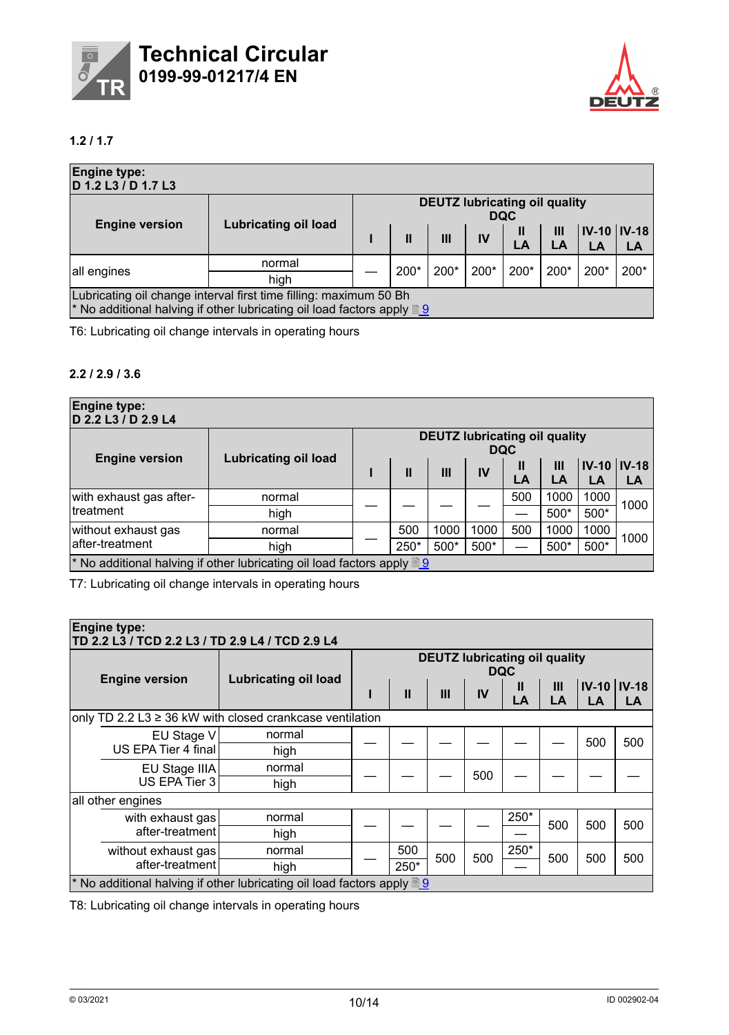<span id="page-9-0"></span>



## **1.2 / 1.7**

| <b>Engine type:</b><br>D 1.2 L3 / D 1.7 L3 |                                                                                                                                                    |                                                    |              |      |      |                    |           |                          |      |  |  |
|--------------------------------------------|----------------------------------------------------------------------------------------------------------------------------------------------------|----------------------------------------------------|--------------|------|------|--------------------|-----------|--------------------------|------|--|--|
|                                            | <b>Lubricating oil load</b>                                                                                                                        | <b>DEUTZ lubricating oil quality</b><br><b>DQC</b> |              |      |      |                    |           |                          |      |  |  |
| <b>Engine version</b>                      |                                                                                                                                                    |                                                    | $\mathbf{I}$ | Ш    | IV   | $\mathbf{I}$<br>LA | III<br>LA | <b>IV-10 IV-18</b><br>LA | LA   |  |  |
| all engines                                | normal<br>high                                                                                                                                     |                                                    | 200*         | 200* | 200* | 200*               | $200*$    | 200*                     | 200* |  |  |
|                                            | Lubricating oil change interval first time filling: maximum 50 Bh<br>* No additional halving if other lubricating oil load factors apply <b>19</b> |                                                    |              |      |      |                    |           |                          |      |  |  |

T6: Lubricating oil change intervals in operating hours

### **2.2 / 2.9 / 3.6**

| <b>Engine type:</b><br>D 2.2 L3 / D 2.9 L4 |                                                                                                     |                                                    |      |      |      |         |         |                          |      |  |  |
|--------------------------------------------|-----------------------------------------------------------------------------------------------------|----------------------------------------------------|------|------|------|---------|---------|--------------------------|------|--|--|
|                                            | <b>Lubricating oil load</b>                                                                         | <b>DEUTZ lubricating oil quality</b><br><b>DQC</b> |      |      |      |         |         |                          |      |  |  |
| <b>Engine version</b>                      |                                                                                                     |                                                    | П    | Ш    | IV   | Ш<br>LA | Ш<br>LA | <b>IV-10 IV-18</b><br>LA | LA   |  |  |
| with exhaust gas after-                    | normal                                                                                              |                                                    |      |      |      | 500     | 1000    | 1000                     | 1000 |  |  |
| <b>Itreatment</b>                          | high                                                                                                |                                                    |      |      |      |         | $500*$  | 500*                     |      |  |  |
| without exhaust gas                        | normal                                                                                              |                                                    | 500  | 1000 | 1000 | 500     | 1000    | 1000                     | 1000 |  |  |
| lafter-treatment                           | high                                                                                                |                                                    | 250* | 500* | 500* |         | 500*    | 500*                     |      |  |  |
|                                            | <sup>*</sup> No additional halving if other lubricating oil load factors apply $\sqrt{\frac{9}{2}}$ |                                                    |      |      |      |         |         |                          |      |  |  |

T7: Lubricating oil change intervals in operating hours

| <b>Engine type:</b><br>TD 2.2 L3 / TCD 2.2 L3 / TD 2.9 L4 / TCD 2.9 L4 |                                                                                                     |                                                    |              |     |     |         |         |                       |     |  |  |
|------------------------------------------------------------------------|-----------------------------------------------------------------------------------------------------|----------------------------------------------------|--------------|-----|-----|---------|---------|-----------------------|-----|--|--|
| <b>Engine version</b>                                                  | <b>Lubricating oil load</b>                                                                         | <b>DEUTZ lubricating oil quality</b><br><b>DQC</b> |              |     |     |         |         |                       |     |  |  |
|                                                                        |                                                                                                     |                                                    | $\mathbf{I}$ | III | IV  | Ш<br>LA | Ш<br>LA | $IV-10$ $IV-18$<br>LA | LA  |  |  |
| only TD 2.2 L3 $\geq$ 36 kW with closed crankcase ventilation          |                                                                                                     |                                                    |              |     |     |         |         |                       |     |  |  |
| EU Stage V<br>US EPA Tier 4 final                                      | normal                                                                                              |                                                    |              |     |     |         |         | 500                   | 500 |  |  |
|                                                                        | high                                                                                                |                                                    |              |     |     |         |         |                       |     |  |  |
| EU Stage IIIA                                                          | normal                                                                                              |                                                    |              |     | 500 |         |         |                       |     |  |  |
| US EPA Tier 3                                                          | high                                                                                                |                                                    |              |     |     |         |         |                       |     |  |  |
| all other engines                                                      |                                                                                                     |                                                    |              |     |     |         |         |                       |     |  |  |
| with exhaust gas                                                       | normal                                                                                              |                                                    |              |     |     | 250*    | 500     | 500                   | 500 |  |  |
| after-treatment                                                        | high                                                                                                |                                                    |              |     |     |         |         |                       |     |  |  |
| without exhaust gas                                                    | normal                                                                                              |                                                    | 500          | 500 | 500 | 250*    | 500     | 500                   | 500 |  |  |
| after-treatment                                                        | high                                                                                                |                                                    | 250*         |     |     |         |         |                       |     |  |  |
|                                                                        | <sup>*</sup> No additional halving if other lubricating oil load factors apply $\sqrt{\frac{9}{2}}$ |                                                    |              |     |     |         |         |                       |     |  |  |

T8: Lubricating oil change intervals in operating hours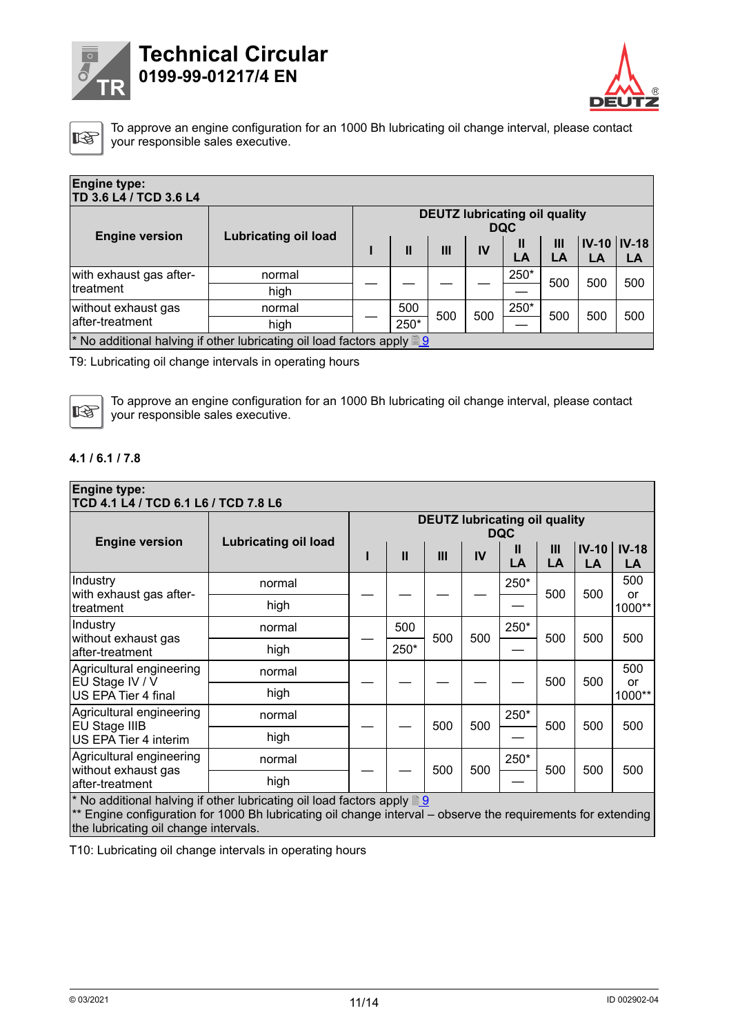<span id="page-10-0"></span>

# **Tech nical Circular 0199-99-01217/4 EN**



吃

To approve an engine configuration for an 1000 Bh lubricating oil change interval, please contact your responsible sales executive.

| <b>Engine type:</b><br>TD 3.6 L4 / TCD 3.6 L4 |                                                                                                     |                                                    |              |     |     |         |         |                          |     |  |
|-----------------------------------------------|-----------------------------------------------------------------------------------------------------|----------------------------------------------------|--------------|-----|-----|---------|---------|--------------------------|-----|--|
|                                               |                                                                                                     | <b>DEUTZ lubricating oil quality</b><br><b>DQC</b> |              |     |     |         |         |                          |     |  |
| <b>Engine version</b>                         | <b>Lubricating oil load</b>                                                                         |                                                    | $\mathbf{I}$ | Ш   | IV  | Ш<br>LA | Ш<br>LA | <b>IV-10 IV-18</b><br>LA | LA  |  |
| with exhaust gas after-                       | normal                                                                                              |                                                    |              |     |     | 250*    | 500     | 500                      | 500 |  |
| Itreatment                                    | high                                                                                                |                                                    |              |     |     |         |         |                          |     |  |
| without exhaust gas                           | normal                                                                                              |                                                    | 500          | 500 | 500 | 250*    | 500     | 500                      | 500 |  |
| lafter-treatment                              | high                                                                                                |                                                    | 250*         |     |     |         |         |                          |     |  |
|                                               | <sup>*</sup> No additional halving if other lubricating oil load factors apply $\sqrt{\frac{9}{2}}$ |                                                    |              |     |     |         |         |                          |     |  |

T9: Lubricating oil change intervals in operating hours



To approve an engine configuration for an 1000 Bh lubricating oil change interval, please contact your responsible sales executive.

#### **4.1 / 6.1 / 7.8**

| <b>Engine type:</b><br>TCD 4.1 L4 / TCD 6.1 L6 / TCD 7.8 L6                                                                                                                                    | <b>Lubricating oil load</b> | <b>DEUTZ lubricating oil quality</b><br><b>DQC</b> |              |     |     |         |           |               |               |  |  |
|------------------------------------------------------------------------------------------------------------------------------------------------------------------------------------------------|-----------------------------|----------------------------------------------------|--------------|-----|-----|---------|-----------|---------------|---------------|--|--|
| <b>Engine version</b>                                                                                                                                                                          |                             |                                                    | $\mathbf{H}$ | III | IV  | Ш<br>LA | III<br>LA | $IV-10$<br>LA | $IV-18$<br>LA |  |  |
| Industry                                                                                                                                                                                       | normal                      |                                                    |              |     |     | 250*    | 500       | 500           | 500           |  |  |
| with exhaust gas after-<br>treatment                                                                                                                                                           | high                        |                                                    |              |     |     |         |           |               | or<br>1000**  |  |  |
| Industry<br>without exhaust gas<br>after-treatment                                                                                                                                             | normal                      |                                                    | 500          | 500 | 500 | 250*    | 500       | 500           | 500           |  |  |
|                                                                                                                                                                                                | high                        |                                                    | 250*         |     |     |         |           |               |               |  |  |
| Agricultural engineering                                                                                                                                                                       | normal                      |                                                    |              |     |     |         | 500       | 500           | 500           |  |  |
| EU Stage IV / V<br>US EPA Tier 4 final                                                                                                                                                         | high                        |                                                    |              |     |     |         |           |               | or<br>1000**  |  |  |
| Agricultural engineering<br><b>EU Stage IIIB</b><br>US EPA Tier 4 interim                                                                                                                      | normal                      |                                                    |              | 500 | 500 | 250*    | 500       | 500           | 500           |  |  |
|                                                                                                                                                                                                | high                        |                                                    |              |     |     |         |           |               |               |  |  |
| Agricultural engineering<br>without exhaust gas<br>after-treatment                                                                                                                             | normal                      |                                                    |              | 500 | 500 | 250*    | 500       | 500           | 500           |  |  |
|                                                                                                                                                                                                | high                        |                                                    |              |     |     |         |           |               |               |  |  |
| * No additional halving if other lubricating oil load factors apply <b>the</b><br>** Engine configuration for 1000 Bh lubricating oil change interval – observe the requirements for extending |                             |                                                    |              |     |     |         |           |               |               |  |  |

the lubricating oil change intervals.

T10: Lubricating oil change intervals in operating hours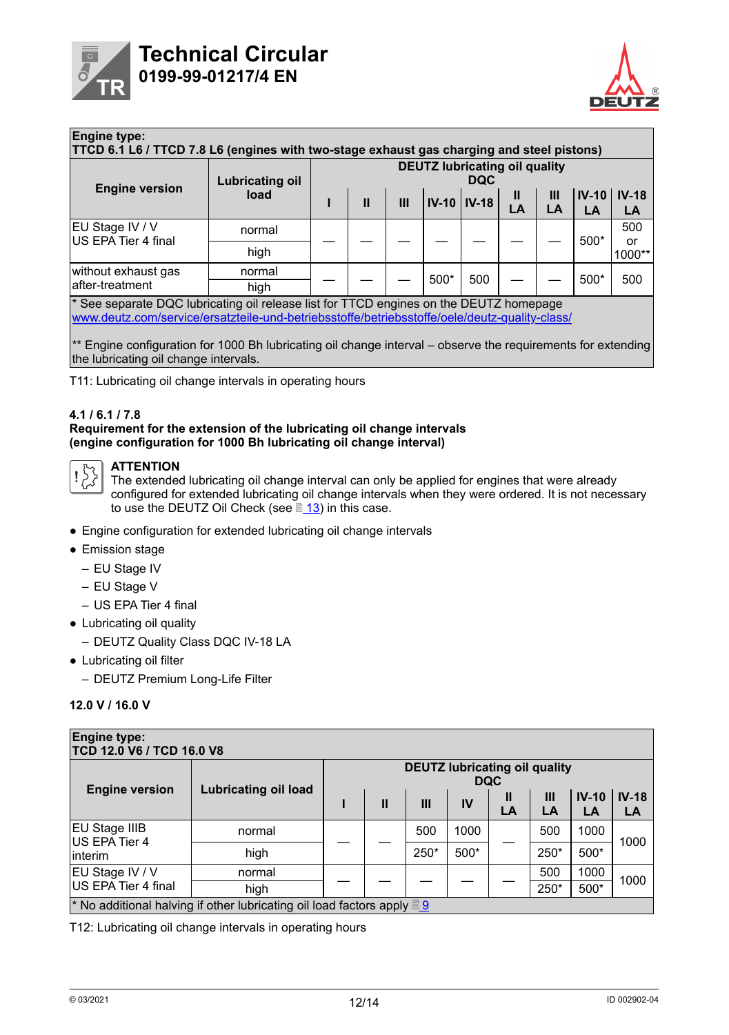<span id="page-11-0"></span>



| <b>Engine type:</b><br>TTCD 6.1 L6 / TTCD 7.8 L6 (engines with two-stage exhaust gas charging and steel pistons)<br><b>DEUTZ lubricating oil quality</b><br><b>DQC</b><br><b>Lubricating oil</b> |        |  |               |   |      |                      |         |                      |               |               |
|--------------------------------------------------------------------------------------------------------------------------------------------------------------------------------------------------|--------|--|---------------|---|------|----------------------|---------|----------------------|---------------|---------------|
| <b>Engine version</b>                                                                                                                                                                            | load   |  | $\mathbf{II}$ | Ш |      | <b>IV-10   IV-18</b> | Ш<br>LA | $\mathbf{III}$<br>LA | $IV-10$<br>LA | $IV-18$<br>LA |
| EU Stage IV / V<br>US EPA Tier 4 final                                                                                                                                                           | normal |  |               |   |      |                      |         |                      | $500*$        | 500           |
|                                                                                                                                                                                                  | high   |  |               |   |      |                      |         |                      |               | or<br>1000**  |
| without exhaust gas<br>after-treatment                                                                                                                                                           | normal |  |               |   | 500* | 500                  |         |                      | 500*          | 500           |
|                                                                                                                                                                                                  | high   |  |               |   |      |                      |         |                      |               |               |
| * See separate DQC lubricating oil release list for TTCD engines on the DEUTZ homepage<br>www.deutz.com/service/ersatzteile-und-betriebsstoffe/betriebsstoffe/oele/deutz-quality-class/          |        |  |               |   |      |                      |         |                      |               |               |

\*\* Engine configuration for 1000 Bh lubricating oil change interval – observe the requirements for extending the lubricating oil change intervals.

T11: Lubricating oil change intervals in operating hours

#### **4.1 / 6.1 / 7.8**

#### **Requirement for the extension of the lubricating oil change intervals (engine configuration for 1000 Bh lubricating oil change interval)**



#### **ATTENTION**

The extended lubricating oil change interval can only be applied for engines that were already configured for extended lubricating oil change intervals when they were ordered. It is not necessary to use the DEUTZ Oil Check (see  $\sqrt{\frac{13}{13}}$  $\sqrt{\frac{13}{13}}$  $\sqrt{\frac{13}{13}}$  in this case.

- Engine configuration for extended lubricating oil change intervals
- Emission stage
	- EU Stage IV
	- EU Stage V
	- US EPA Tier 4 final
- Lubricating oil quality
	- DEUTZ Quality Class DQC IV-18 LA
- Lubricating oil filter
	- DEUTZ Premium Long-Life Filter

#### **12.0 V / 16.0 V**

| <b>Engine type:</b><br>TCD 12.0 V6 / TCD 16.0 V8                                                          |                             |                                                    |              |      |      |         |         |               |               |  |  |
|-----------------------------------------------------------------------------------------------------------|-----------------------------|----------------------------------------------------|--------------|------|------|---------|---------|---------------|---------------|--|--|
| <b>Engine version</b>                                                                                     | <b>Lubricating oil load</b> | <b>DEUTZ lubricating oil quality</b><br><b>DQC</b> |              |      |      |         |         |               |               |  |  |
|                                                                                                           |                             |                                                    | $\mathbf{I}$ | III  | IV   | Ш<br>LA | Ш<br>LA | $IV-10$<br>LA | $IV-18$<br>LA |  |  |
| <b>EU Stage IIIB</b><br>US EPA Tier 4<br>linterim                                                         | normal                      |                                                    |              | 500  | 1000 |         | 500     | 1000          | 1000          |  |  |
|                                                                                                           | high                        |                                                    |              | 250* | 500* |         | 250*    | 500*          |               |  |  |
| EU Stage IV / V<br>US EPA Tier 4 final                                                                    | normal                      |                                                    |              |      |      |         | 500     | 1000          | 1000          |  |  |
|                                                                                                           | high                        |                                                    |              |      |      |         | 250*    | 500*          |               |  |  |
| <sup>*</sup> No additional halving if other lubricating oil load factors apply $\left \frac{9}{2}\right $ |                             |                                                    |              |      |      |         |         |               |               |  |  |

T12: Lubricating oil change intervals in operating hours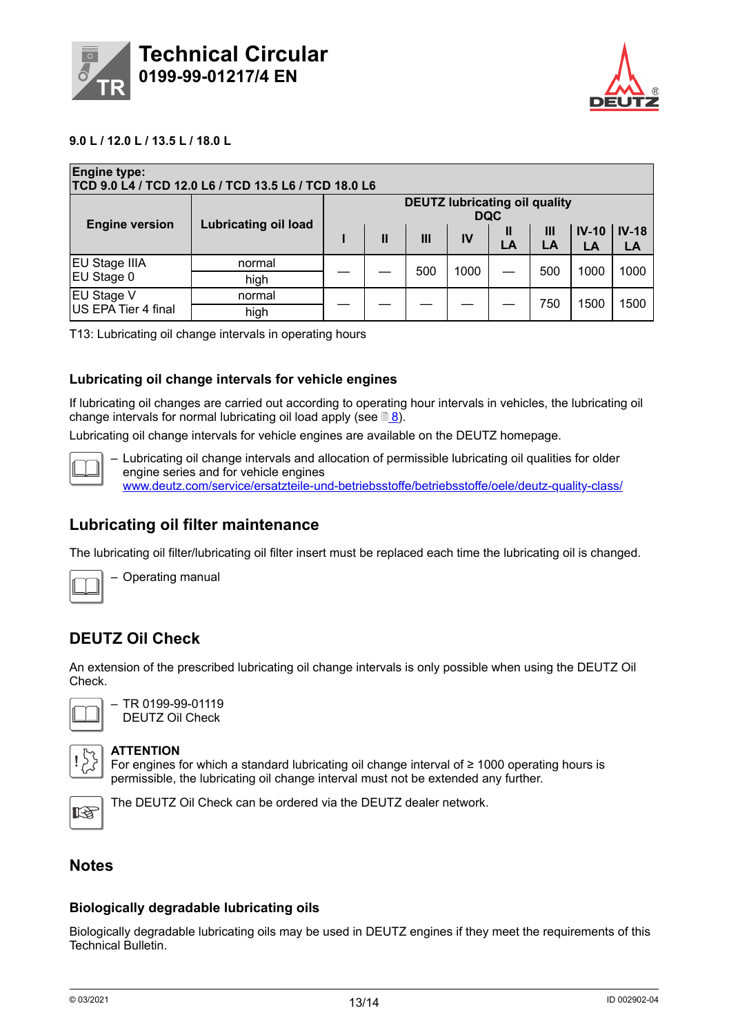<span id="page-12-0"></span>



#### **9.0 L / 12.0 L / 13.5 L / 18.0 L**

| <b>Engine type:</b><br>TCD 9.0 L4 / TCD 12.0 L6 / TCD 13.5 L6 / TCD 18.0 L6 |                             |                                                    |              |     |      |         |         |               |               |  |
|-----------------------------------------------------------------------------|-----------------------------|----------------------------------------------------|--------------|-----|------|---------|---------|---------------|---------------|--|
| <b>Engine version</b>                                                       | <b>Lubricating oil load</b> | <b>DEUTZ lubricating oil quality</b><br><b>DQC</b> |              |     |      |         |         |               |               |  |
|                                                                             |                             |                                                    | $\mathbf{I}$ | Ш   | IV   | Ш<br>LA | Ш<br>LA | $IV-10$<br>LA | $IV-18$<br>LA |  |
| <b>EU Stage IIIA</b>                                                        | normal                      |                                                    |              | 500 | 1000 |         | 500     | 1000<br>1500  | 1000          |  |
| EU Stage 0                                                                  | high                        |                                                    |              |     |      |         |         |               |               |  |
| <b>EU Stage V</b><br>US EPA Tier 4 final                                    | normal                      |                                                    |              |     |      |         | 750     |               | 1500          |  |
|                                                                             | high                        |                                                    |              |     |      |         |         |               |               |  |

T13: Lubricating oil change intervals in operating hours

#### **Lubricating oil change intervals for vehicle engines**

If lubricating oil changes are carried out according to operating hour intervals in vehicles, the lubricating oil change intervals for normal lubricating oil load apply (see  $\mathbb{B}8$  $\mathbb{B}8$ ).

Lubricating oil change intervals for vehicle engines are available on the DEUTZ homepage.



– Lubricating oil change intervals and allocation of permissible lubricating oil qualities for older engine series and for vehicle engines www.deutz.com/service/ersatzteile-und-betriebsstoffe/betriebsstoffe/oele/deutz-quality-class/

### **Lubricating oil filter maintenance**

The lubricating oil filter/lubricating oil filter insert must be replaced each time the lubricating oil is changed.



– Operating manual

## **DEUTZ Oil Check**

An extension of the prescribed lubricating oil change intervals is only possible when using the DEUTZ Oil Check.



– TR 0199-99-01119 DEUTZ Oil Check

#### **ATTENTION**

For engines for which a standard lubricating oil change interval of ≥ 1000 operating hours is permissible, the lubricating oil change interval must not be extended any further.



The DEUTZ Oil Check can be ordered via the DEUTZ dealer network.

### **Notes**

#### **Biologically degradable lubricating oils**

Biologically degradable lubricating oils may be used in DEUTZ engines if they meet the requirements of this Technical Bulletin.